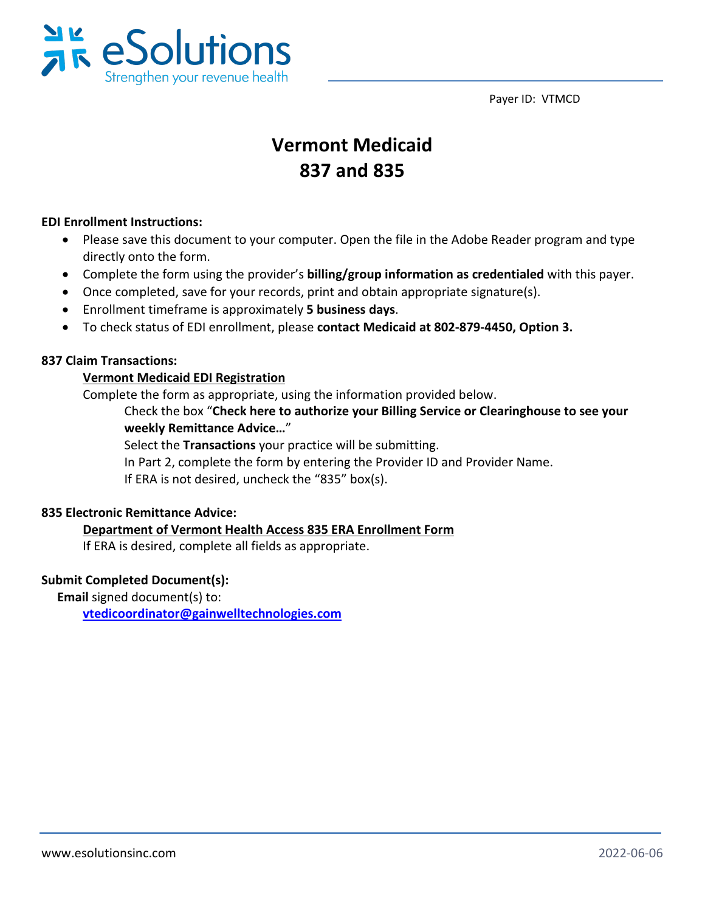Payer ID: VTMCD



## **Vermont Medicaid 837 and 835**

#### **EDI Enrollment Instructions:**

- Please save this document to your computer. Open the file in the Adobe Reader program and type directly onto the form.
- Complete the form using the provider's **billing/group information as credentialed** with this payer.
- Once completed, save for your records, print and obtain appropriate signature(s).
- Enrollment timeframe is approximately **5 business days**.
- To check status of EDI enrollment, please **contact Medicaid at 802-879-4450, Option 3.**

#### **837 Claim Transactions:**

#### **Vermont Medicaid EDI Registration**

Complete the form as appropriate, using the information provided below.

Check the box "**Check here to authorize your Billing Service or Clearinghouse to see your weekly Remittance Advice…**"

Select the **Transactions** your practice will be submitting. In Part 2, complete the form by entering the Provider ID and Provider Name. If ERA is not desired, uncheck the "835" box(s).

#### **835 Electronic Remittance Advice:**

#### **Department of Vermont Health Access 835 ERA Enrollment Form**

If ERA is desired, complete all fields as appropriate.

#### **Submit Completed Document(s):**

**Email** signed document(s) to:

**[vtedicoordinator@gainwelltechnologies.com](mailto:vtedicoordinator@gainwelltechnologies.com)**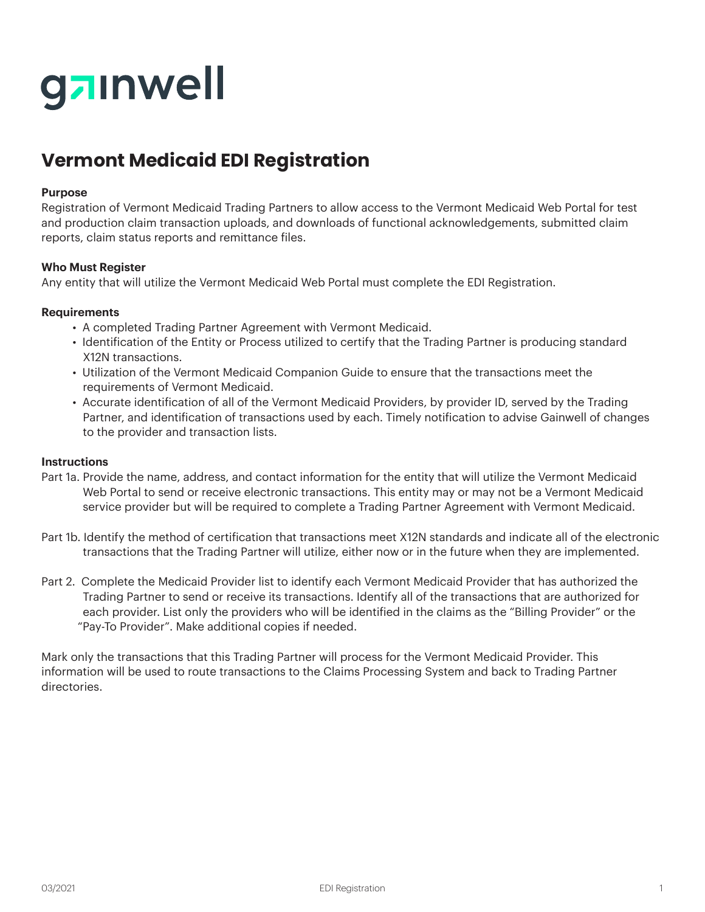# gainwell

## **Vermont Medicaid EDI Registration**

#### **Purpose**

Registration of Vermont Medicaid Trading Partners to allow access to the Vermont Medicaid Web Portal for test and production claim transaction uploads, and downloads of functional acknowledgements, submitted claim reports, claim status reports and remittance files.

#### **Who Must Register**

Any entity that will utilize the Vermont Medicaid Web Portal must complete the EDI Registration.

#### **Requirements**

- A completed Trading Partner Agreement with Vermont Medicaid.
- Identification of the Entity or Process utilized to certify that the Trading Partner is producing standard X12N transactions.
- Utilization of the Vermont Medicaid Companion Guide to ensure that the transactions meet the requirements of Vermont Medicaid.
- Accurate identification of all of the Vermont Medicaid Providers, by provider ID, served by the Trading Partner, and identification of transactions used by each. Timely notification to advise Gainwell of changes to the provider and transaction lists.

#### **Instructions**

- Part 1a. Provide the name, address, and contact information for the entity that will utilize the Vermont Medicaid Web Portal to send or receive electronic transactions. This entity may or may not be a Vermont Medicaid service provider but will be required to complete a Trading Partner Agreement with Vermont Medicaid.
- Part 1b. Identify the method of certification that transactions meet X12N standards and indicate all of the electronic transactions that the Trading Partner will utilize, either now or in the future when they are implemented.
- Part 2. Complete the Medicaid Provider list to identify each Vermont Medicaid Provider that has authorized the Trading Partner to send or receive its transactions. Identify all of the transactions that are authorized for each provider. List only the providers who will be identified in the claims as the "Billing Provider" or the "Pay-To Provider". Make additional copies if needed.

Mark only the transactions that this Trading Partner will process for the Vermont Medicaid Provider. This information will be used to route transactions to the Claims Processing System and back to Trading Partner directories.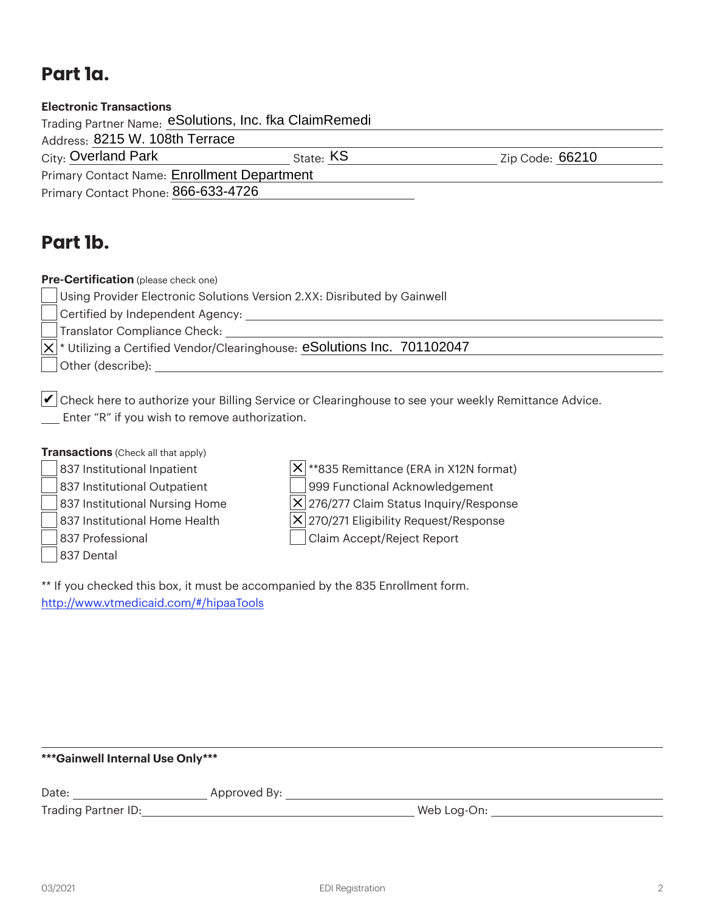## **Part 1a.**

| <b>Electronic Transactions</b>                         |           |                 |
|--------------------------------------------------------|-----------|-----------------|
| Trading Partner Name: eSolutions, Inc. fka ClaimRemedi |           |                 |
| Address: 8215 W. 108th Terrace                         |           |                 |
| City: Overland Park                                    | State: KS | Zip Code: 66210 |
| <b>Primary Contact Name: Enrollment Department</b>     |           |                 |
| Primary Contact Phone: 866-633-4726                    |           |                 |
|                                                        |           |                 |

### **Part 1b.**

**Pre-Certification** (please check one)

Using Provider Electronic Solutions Version 2.XX: Disributed by Gainwell

Certified by Independent Agency:

Translator Compliance Check:

\* Utilizing a Certified Vendor/Clearinghouse: eSolutions Inc. 701102047

Other (describe):

 $\blacktriangleright$  Check here to authorize your Billing Service or Clearinghouse to see your weekly Remittance Advice. Enter "R" if you wish to remove authorization.

**Transactions** (Check all that apply)

837 Institutional Inpatient  $|X|^{**}$ 835 Remittance (ERA in X12N format)

837 Institutional Outpatient | 999 Functional Acknowledgement 837 Institutional Nursing Home  $|X|$  276/277 Claim Status Inquiry/Response

837 Dental

837 Institutional Home Health  $|X|$  270/271 Eligibility Request/Response

837 Professional **Claim Accept/Reject Report** 

\*\* If you checked this box, it must be accompanied by the 835 Enrollment form. http://www.vtmedicaid.com/#/hipaaTools

#### **\*\*\*Gainwell Internal Use Only\*\*\***

Date: Approved By:

Trading Partner ID: Web Log-On: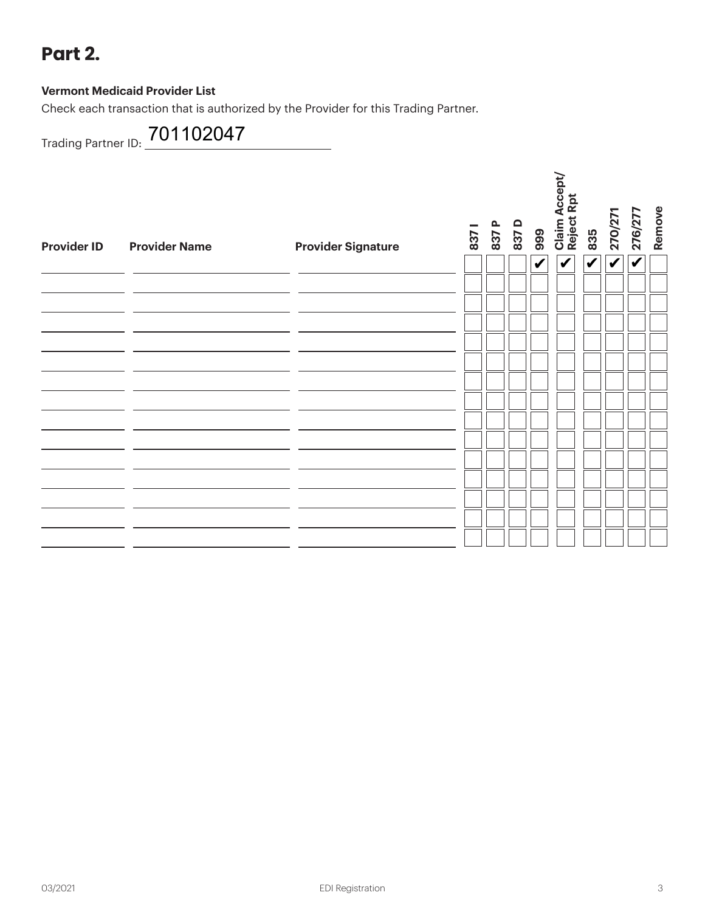## **Part 2.**

#### **Vermont Medicaid Provider List**

Check each transaction that is authorized by the Provider for this Trading Partner.

Trading Partner ID: 701102047

| <b>Provider ID</b> | <b>Provider Name</b> | <b>Provider Signature</b> | 837 | 837 P | 837D | 999                | Claim Accept/<br>Reject Rpt | 835                     | 270/271                 | 276/277                 | Remove |
|--------------------|----------------------|---------------------------|-----|-------|------|--------------------|-----------------------------|-------------------------|-------------------------|-------------------------|--------|
|                    |                      |                           |     |       |      | $\bar{\mathbf{v}}$ | $\overline{\mathbf{v}}$     | $\overline{\mathbf{v}}$ | $\overline{\mathbf{v}}$ | $\overline{\mathbf{v}}$ |        |
|                    |                      |                           |     |       |      |                    |                             |                         |                         |                         |        |
|                    |                      |                           |     |       |      |                    |                             |                         |                         |                         |        |
|                    |                      |                           |     |       |      |                    |                             |                         |                         |                         |        |
|                    |                      |                           |     |       |      |                    |                             |                         |                         |                         |        |
|                    |                      |                           |     |       |      |                    |                             |                         |                         |                         |        |
|                    |                      |                           |     |       |      |                    |                             |                         |                         |                         |        |
|                    |                      |                           |     |       |      |                    |                             |                         |                         |                         |        |
|                    |                      |                           |     |       |      |                    |                             |                         |                         |                         |        |
|                    |                      |                           |     |       |      |                    |                             |                         |                         |                         |        |
|                    |                      |                           |     |       |      |                    |                             |                         |                         |                         |        |
|                    |                      |                           |     |       |      |                    |                             |                         |                         |                         |        |
|                    |                      |                           |     |       |      |                    |                             |                         |                         |                         |        |
|                    |                      |                           |     |       |      |                    |                             |                         |                         |                         |        |
|                    |                      |                           |     |       |      |                    |                             |                         |                         |                         |        |
|                    |                      |                           |     |       |      |                    |                             |                         |                         |                         |        |